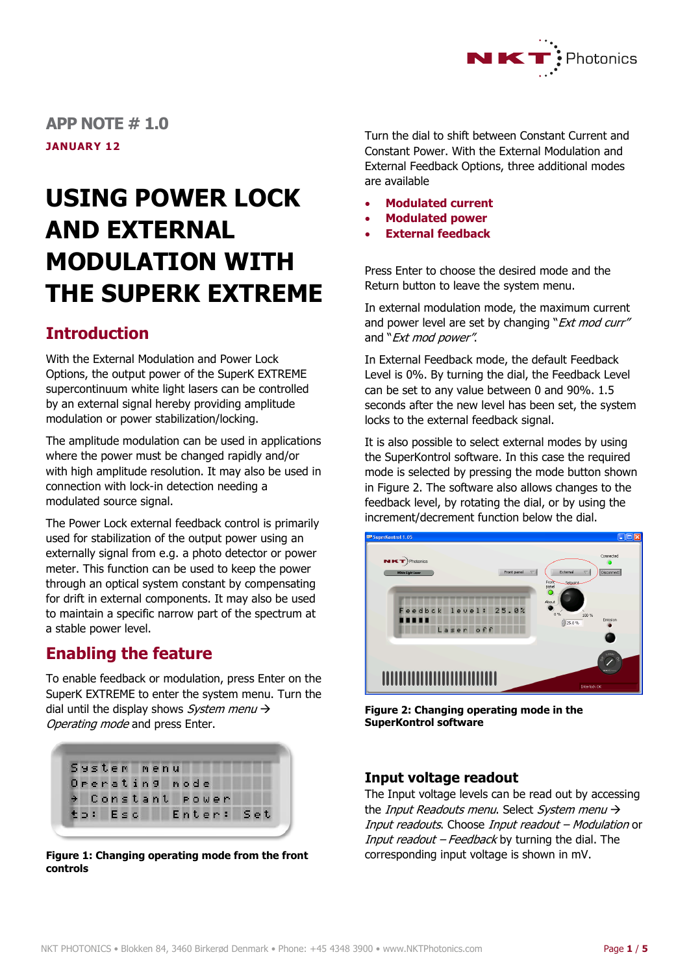

# **APP NOTE # 1.0 JANUARY 12**

# **USING POWER LOCK AND EXTERNAL MODULATION WITH THE SUPERK EXTREME**

# **Introduction**

With the External Modulation and Power Lock Options, the output power of the SuperK EXTREME supercontinuum white light lasers can be controlled by an external signal hereby providing amplitude modulation or power stabilization/locking.

The amplitude modulation can be used in applications where the power must be changed rapidly and/or with high amplitude resolution. It may also be used in connection with lock-in detection needing a modulated source signal.

The Power Lock external feedback control is primarily used for stabilization of the output power using an externally signal from e.g. a photo detector or power meter. This function can be used to keep the power through an optical system constant by compensating for drift in external components. It may also be used to maintain a specific narrow part of the spectrum at a stable power level.

## **Enabling the feature**

To enable feedback or modulation, press Enter on the SuperK EXTREME to enter the system menu. Turn the dial until the display shows System menu  $\rightarrow$ Operating mode and press Enter.

| System menu      |  |  |  |  |  |  |  |            |  |
|------------------|--|--|--|--|--|--|--|------------|--|
| Operating mode   |  |  |  |  |  |  |  |            |  |
| + Constant Power |  |  |  |  |  |  |  |            |  |
| to: Esc          |  |  |  |  |  |  |  | Enter: Set |  |

**Figure 1: Changing operating mode from the front controls**

Turn the dial to shift between Constant Current and Constant Power. With the External Modulation and External Feedback Options, three additional modes are available

- **Modulated current**
- **Modulated power**
- **External feedback**

Press Enter to choose the desired mode and the Return button to leave the system menu.

In external modulation mode, the maximum current and power level are set by changing "Ext mod curr" and "*Ext mod power"*.

In External Feedback mode, the default Feedback Level is 0%. By turning the dial, the Feedback Level can be set to any value between 0 and 90%. 1.5 seconds after the new level has been set, the system locks to the external feedback signal.

It is also possible to select external modes by using the SuperKontrol software. In this case the required mode is selected by pressing the mode button shown in Figure 2. The software also allows changes to the feedback level, by rotating the dial, or by using the increment/decrement function below the dial.



**Figure 2: Changing operating mode in the SuperKontrol software**

#### **Input voltage readout**

The Input voltage levels can be read out by accessing the Input Readouts menu. Select System menu  $\rightarrow$ Input readouts. Choose Input readout – Modulation or Input readout - Feedback by turning the dial. The corresponding input voltage is shown in mV.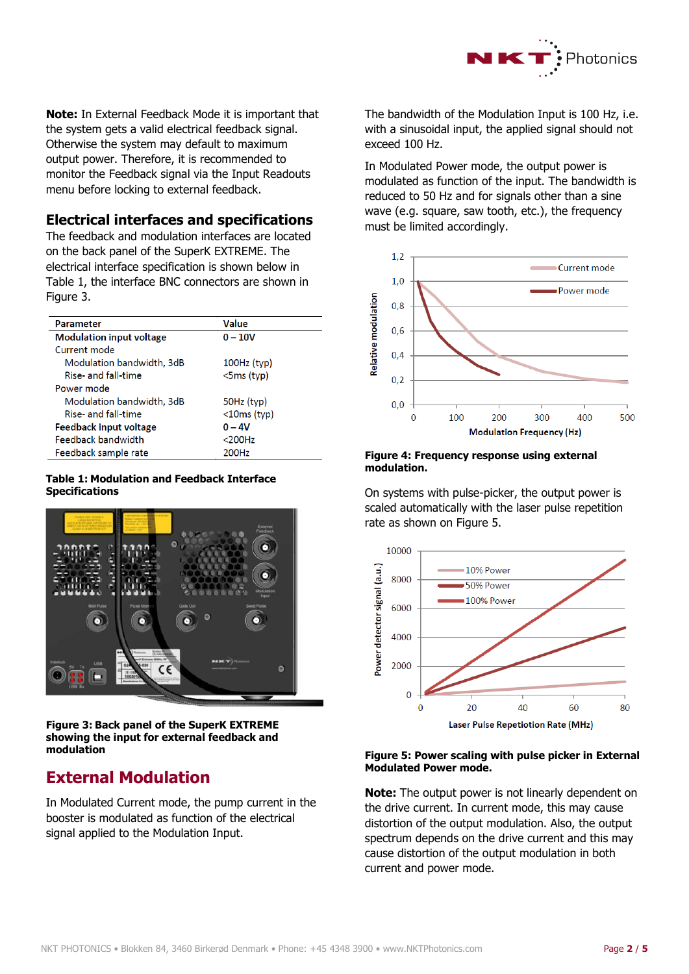

**Note:** In External Feedback Mode it is important that the system gets a valid electrical feedback signal. Otherwise the system may default to maximum output power. Therefore, it is recommended to monitor the Feedback signal via the Input Readouts menu before locking to external feedback.

#### **Electrical interfaces and specifications**

The feedback and modulation interfaces are located on the back panel of the SuperK EXTREME. The electrical interface specification is shown below in Table 1, the interface BNC connectors are shown in Figure 3.

| Parameter                       | <b>Value</b>      |
|---------------------------------|-------------------|
| <b>Modulation input voltage</b> | $0 - 10V$         |
| Current mode                    |                   |
| Modulation bandwidth, 3dB       | $100Hz$ (typ)     |
| Rise- and fall-time             | $<5ms$ (typ)      |
| Power mode                      |                   |
| Modulation bandwidth, 3dB       | 50Hz (typ)        |
| Rise- and fall-time             | $<$ 10 $ms$ (typ) |
| Feedback input voltage          | $0 - 4V$          |
| Feedback bandwidth              | $<$ 200Hz         |
| Feedback sample rate            | 200Hz             |

#### **Table 1: Modulation and Feedback Interface Specifications**



**Figure 3: Back panel of the SuperK EXTREME showing the input for external feedback and modulation**

# **External Modulation**

In Modulated Current mode, the pump current in the booster is modulated as function of the electrical signal applied to the Modulation Input.

The bandwidth of the Modulation Input is 100 Hz, i.e. with a sinusoidal input, the applied signal should not exceed 100 Hz.

In Modulated Power mode, the output power is modulated as function of the input. The bandwidth is reduced to 50 Hz and for signals other than a sine wave (e.g. square, saw tooth, etc.), the frequency must be limited accordingly.



**Figure 4: Frequency response using external modulation.**

On systems with pulse-picker, the output power is scaled automatically with the laser pulse repetition rate as shown on Figure 5.



#### **Figure 5: Power scaling with pulse picker in External Modulated Power mode.**

**Note:** The output power is not linearly dependent on the drive current. In current mode, this may cause distortion of the output modulation. Also, the output spectrum depends on the drive current and this may cause distortion of the output modulation in both current and power mode.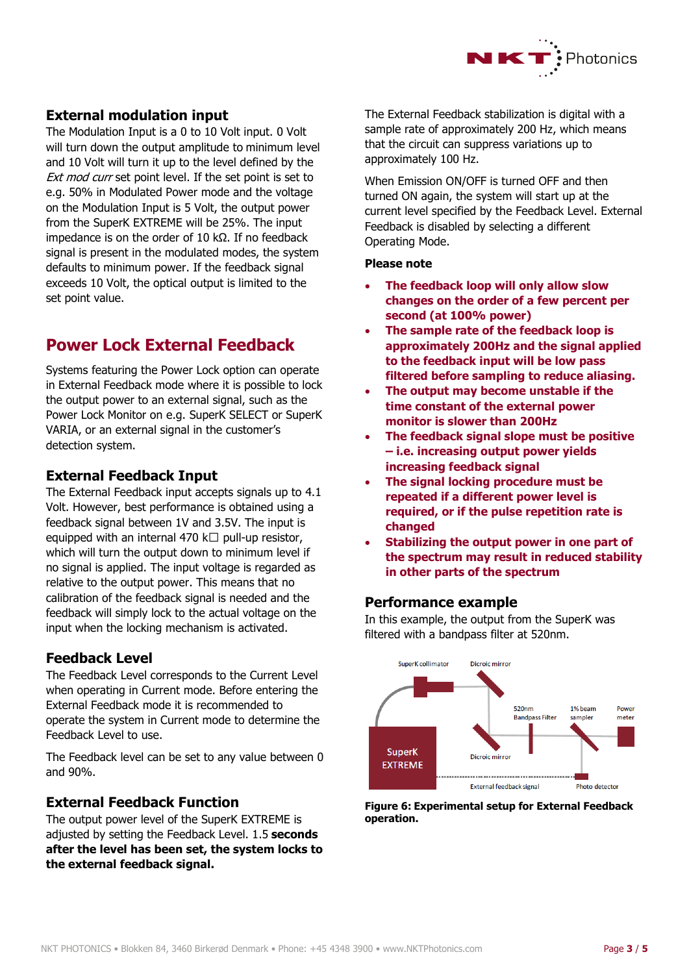

## **External modulation input**

The Modulation Input is a 0 to 10 Volt input. 0 Volt will turn down the output amplitude to minimum level and 10 Volt will turn it up to the level defined by the Ext mod curr set point level. If the set point is set to e.g. 50% in Modulated Power mode and the voltage on the Modulation Input is 5 Volt, the output power from the SuperK EXTREME will be 25%. The input impedance is on the order of 10 kΩ. If no feedback signal is present in the modulated modes, the system defaults to minimum power. If the feedback signal exceeds 10 Volt, the optical output is limited to the set point value.

# **Power Lock External Feedback**

Systems featuring the Power Lock option can operate in External Feedback mode where it is possible to lock the output power to an external signal, such as the Power Lock Monitor on e.g. SuperK SELECT or SuperK VARIA, or an external signal in the customer's detection system.

## **External Feedback Input**

The External Feedback input accepts signals up to 4.1 Volt. However, best performance is obtained using a feedback signal between 1V and 3.5V. The input is equipped with an internal 470  $k \Box$  pull-up resistor, which will turn the output down to minimum level if no signal is applied. The input voltage is regarded as relative to the output power. This means that no calibration of the feedback signal is needed and the feedback will simply lock to the actual voltage on the input when the locking mechanism is activated.

### **Feedback Level**

The Feedback Level corresponds to the Current Level when operating in Current mode. Before entering the External Feedback mode it is recommended to operate the system in Current mode to determine the Feedback Level to use.

The Feedback level can be set to any value between 0 and 90%.

## **External Feedback Function**

The output power level of the SuperK EXTREME is adjusted by setting the Feedback Level. 1.5 **seconds after the level has been set, the system locks to the external feedback signal.** 

The External Feedback stabilization is digital with a sample rate of approximately 200 Hz, which means that the circuit can suppress variations up to approximately 100 Hz.

When Emission ON/OFF is turned OFF and then turned ON again, the system will start up at the current level specified by the Feedback Level. External Feedback is disabled by selecting a different Operating Mode.

#### **Please note**

- **The feedback loop will only allow slow changes on the order of a few percent per second (at 100% power)**
- **The sample rate of the feedback loop is approximately 200Hz and the signal applied to the feedback input will be low pass filtered before sampling to reduce aliasing.**
- **The output may become unstable if the time constant of the external power monitor is slower than 200Hz**
- **The feedback signal slope must be positive – i.e. increasing output power yields increasing feedback signal**
- **The signal locking procedure must be repeated if a different power level is required, or if the pulse repetition rate is changed**
- **Stabilizing the output power in one part of the spectrum may result in reduced stability in other parts of the spectrum**

### **Performance example**

In this example, the output from the SuperK was filtered with a bandpass filter at 520nm.



**Figure 6: Experimental setup for External Feedback operation.**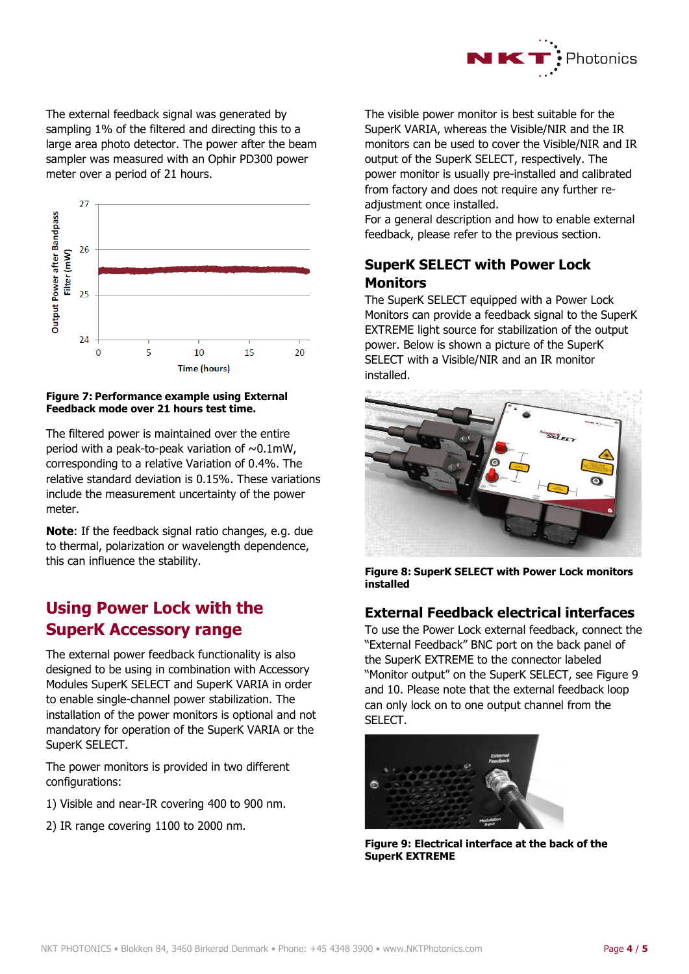

The external feedback signal was generated by sampling 1% of the filtered and directing this to a large area photo detector. The power after the beam sampler was measured with an Ophir PD300 power meter over a period of 21 hours.



#### **Figure 7: Performance example using External Feedback mode over 21 hours test time.**

The filtered power is maintained over the entire period with a peak-to-peak variation of  $\sim 0.1$ mW, corresponding to a relative Variation of 0.4%. The relative standard deviation is 0.15%. These variations include the measurement uncertainty of the power meter.

**Note**: If the feedback signal ratio changes, e.g. due to thermal, polarization or wavelength dependence, this can influence the stability.

# **Using Power Lock with the SuperK Accessory range**

The external power feedback functionality is also designed to be using in combination with Accessory Modules SuperK SELECT and SuperK VARIA in order to enable single-channel power stabilization. The installation of the power monitors is optional and not mandatory for operation of the SuperK VARIA or the SuperK SELECT.

The power monitors is provided in two different configurations:

- 1) Visible and near-IR covering 400 to 900 nm.
- 2) IR range covering 1100 to 2000 nm.

The visible power monitor is best suitable for the SuperK VARIA, whereas the Visible/NIR and the IR monitors can be used to cover the Visible/NIR and IR output of the SuperK SELECT, respectively. The power monitor is usually pre-installed and calibrated from factory and does not require any further readjustment once installed.

For a general description and how to enable external feedback, please refer to the previous section.

## **SuperK SELECT with Power Lock Monitors**

The SuperK SELECT equipped with a Power Lock Monitors can provide a feedback signal to the SuperK EXTREME light source for stabilization of the output power. Below is shown a picture of the SuperK SELECT with a Visible/NIR and an IR monitor installed.



**Figure 8: SuperK SELECT with Power Lock monitors installed**

## **External Feedback electrical interfaces**

To use the Power Lock external feedback, connect the "External Feedback" BNC port on the back panel of the SuperK EXTREME to the connector labeled "Monitor output" on the SuperK SELECT, see Figure 9 and 10. Please note that the external feedback loop can only lock on to one output channel from the SELECT.



**Figure 9: Electrical interface at the back of the SuperK EXTREME**